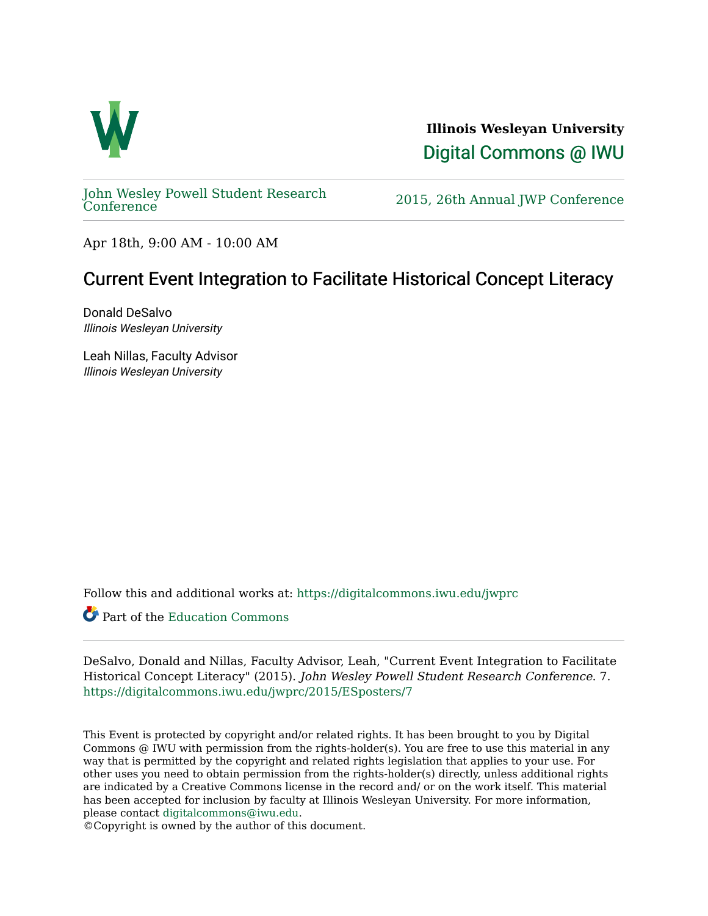

**Illinois Wesleyan University**  [Digital Commons @ IWU](https://digitalcommons.iwu.edu/) 

[John Wesley Powell Student Research](https://digitalcommons.iwu.edu/jwprc) 

2015, 26th Annual JWP [Conference](https://digitalcommons.iwu.edu/jwprc)

Apr 18th, 9:00 AM - 10:00 AM

#### Current Event Integration to Facilitate Historical Concept Literacy

Donald DeSalvo Illinois Wesleyan University

Leah Nillas, Faculty Advisor Illinois Wesleyan University

Follow this and additional works at: [https://digitalcommons.iwu.edu/jwprc](https://digitalcommons.iwu.edu/jwprc?utm_source=digitalcommons.iwu.edu%2Fjwprc%2F2015%2FESposters%2F7&utm_medium=PDF&utm_campaign=PDFCoverPages) 

Part of the [Education Commons](http://network.bepress.com/hgg/discipline/784?utm_source=digitalcommons.iwu.edu%2Fjwprc%2F2015%2FESposters%2F7&utm_medium=PDF&utm_campaign=PDFCoverPages)

DeSalvo, Donald and Nillas, Faculty Advisor, Leah, "Current Event Integration to Facilitate Historical Concept Literacy" (2015). John Wesley Powell Student Research Conference. 7. [https://digitalcommons.iwu.edu/jwprc/2015/ESposters/7](https://digitalcommons.iwu.edu/jwprc/2015/ESposters/7?utm_source=digitalcommons.iwu.edu%2Fjwprc%2F2015%2FESposters%2F7&utm_medium=PDF&utm_campaign=PDFCoverPages)

This Event is protected by copyright and/or related rights. It has been brought to you by Digital Commons @ IWU with permission from the rights-holder(s). You are free to use this material in any way that is permitted by the copyright and related rights legislation that applies to your use. For other uses you need to obtain permission from the rights-holder(s) directly, unless additional rights are indicated by a Creative Commons license in the record and/ or on the work itself. This material has been accepted for inclusion by faculty at Illinois Wesleyan University. For more information, please contact [digitalcommons@iwu.edu.](mailto:digitalcommons@iwu.edu)

©Copyright is owned by the author of this document.